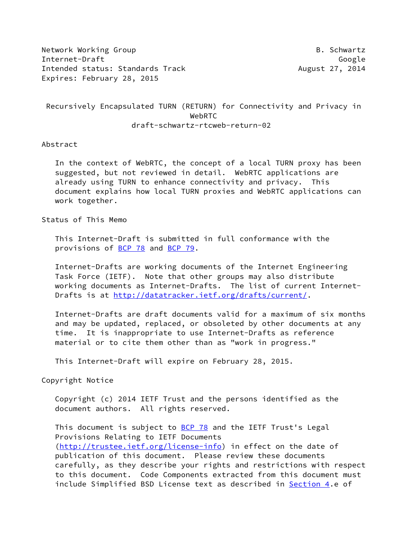Network Working Group **B. Schwartz** Internet-Draft Google Intended status: Standards Track August 27, 2014 Expires: February 28, 2015

 Recursively Encapsulated TURN (RETURN) for Connectivity and Privacy in WebRTC draft-schwartz-rtcweb-return-02

Abstract

 In the context of WebRTC, the concept of a local TURN proxy has been suggested, but not reviewed in detail. WebRTC applications are already using TURN to enhance connectivity and privacy. This document explains how local TURN proxies and WebRTC applications can work together.

Status of This Memo

 This Internet-Draft is submitted in full conformance with the provisions of [BCP 78](https://datatracker.ietf.org/doc/pdf/bcp78) and [BCP 79](https://datatracker.ietf.org/doc/pdf/bcp79).

 Internet-Drafts are working documents of the Internet Engineering Task Force (IETF). Note that other groups may also distribute working documents as Internet-Drafts. The list of current Internet Drafts is at<http://datatracker.ietf.org/drafts/current/>.

 Internet-Drafts are draft documents valid for a maximum of six months and may be updated, replaced, or obsoleted by other documents at any time. It is inappropriate to use Internet-Drafts as reference material or to cite them other than as "work in progress."

This Internet-Draft will expire on February 28, 2015.

Copyright Notice

 Copyright (c) 2014 IETF Trust and the persons identified as the document authors. All rights reserved.

This document is subject to **[BCP 78](https://datatracker.ietf.org/doc/pdf/bcp78)** and the IETF Trust's Legal Provisions Relating to IETF Documents [\(http://trustee.ietf.org/license-info](http://trustee.ietf.org/license-info)) in effect on the date of publication of this document. Please review these documents carefully, as they describe your rights and restrictions with respect to this document. Code Components extracted from this document must include Simplified BSD License text as described in [Section 4.](#page-5-0)e of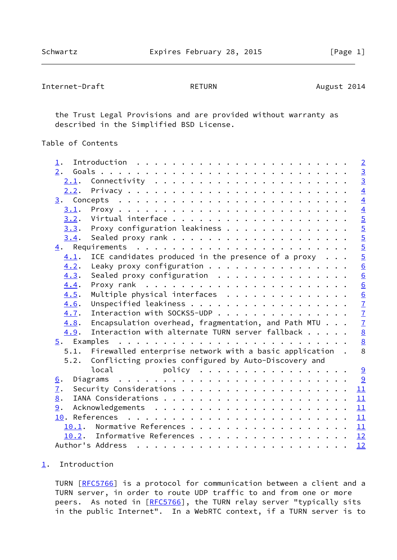```
Internet-Draft RETURN RETURN August 2014
```
 the Trust Legal Provisions and are provided without warranty as described in the Simplified BSD License.

Table of Contents

| $\perp$ . |                                                                                                                                                                                                                                                                                                                                                                                                                                                                                                           | $\overline{2}$  |
|-----------|-----------------------------------------------------------------------------------------------------------------------------------------------------------------------------------------------------------------------------------------------------------------------------------------------------------------------------------------------------------------------------------------------------------------------------------------------------------------------------------------------------------|-----------------|
| 2.        |                                                                                                                                                                                                                                                                                                                                                                                                                                                                                                           | $\frac{3}{3}$   |
| 2.1.      | Connectivity $\ldots \ldots \ldots \ldots \ldots \ldots \ldots$                                                                                                                                                                                                                                                                                                                                                                                                                                           |                 |
| 2.2.      |                                                                                                                                                                                                                                                                                                                                                                                                                                                                                                           | $\overline{4}$  |
|           |                                                                                                                                                                                                                                                                                                                                                                                                                                                                                                           | $\overline{4}$  |
| 3.1.      |                                                                                                                                                                                                                                                                                                                                                                                                                                                                                                           |                 |
| 3.2.      |                                                                                                                                                                                                                                                                                                                                                                                                                                                                                                           | $\frac{4}{5}$   |
| 3.3.      | Proxy configuration leakiness                                                                                                                                                                                                                                                                                                                                                                                                                                                                             |                 |
| 3.4.      |                                                                                                                                                                                                                                                                                                                                                                                                                                                                                                           | $\overline{5}$  |
|           |                                                                                                                                                                                                                                                                                                                                                                                                                                                                                                           | $\overline{5}$  |
| 4.1.      | ICE candidates produced in the presence of a proxy $\ldots$                                                                                                                                                                                                                                                                                                                                                                                                                                               | $\overline{5}$  |
| 4.2.      | Leaky proxy configuration                                                                                                                                                                                                                                                                                                                                                                                                                                                                                 | 6               |
| 4.3.      | Sealed proxy configuration $\ldots$ ,                                                                                                                                                                                                                                                                                                                                                                                                                                                                     | 6               |
| 4.4.      |                                                                                                                                                                                                                                                                                                                                                                                                                                                                                                           | $\underline{6}$ |
| 4.5.      | Multiple physical interfaces                                                                                                                                                                                                                                                                                                                                                                                                                                                                              | $\underline{6}$ |
| 4.6.      |                                                                                                                                                                                                                                                                                                                                                                                                                                                                                                           | $\overline{1}$  |
| 4.7.      | Interaction with SOCKS5-UDP                                                                                                                                                                                                                                                                                                                                                                                                                                                                               | $\overline{1}$  |
| 4.8.      | Encapsulation overhead, fragmentation, and Path MTU                                                                                                                                                                                                                                                                                                                                                                                                                                                       | $\overline{1}$  |
| 4.9.      | Interaction with alternate TURN server fallback                                                                                                                                                                                                                                                                                                                                                                                                                                                           | $\underline{8}$ |
|           |                                                                                                                                                                                                                                                                                                                                                                                                                                                                                                           | $\underline{8}$ |
| 5.1.      | Firewalled enterprise network with a basic application.                                                                                                                                                                                                                                                                                                                                                                                                                                                   | 8               |
| 5.2.      | Conflicting proxies configured by Auto-Discovery and                                                                                                                                                                                                                                                                                                                                                                                                                                                      |                 |
|           | local<br>policy                                                                                                                                                                                                                                                                                                                                                                                                                                                                                           | 9               |
| 6.        |                                                                                                                                                                                                                                                                                                                                                                                                                                                                                                           | 9               |
| 7.        |                                                                                                                                                                                                                                                                                                                                                                                                                                                                                                           | 11              |
| 8.        |                                                                                                                                                                                                                                                                                                                                                                                                                                                                                                           | 11              |
| 9.        |                                                                                                                                                                                                                                                                                                                                                                                                                                                                                                           | 11              |
|           |                                                                                                                                                                                                                                                                                                                                                                                                                                                                                                           | 11              |
| 10.1.     |                                                                                                                                                                                                                                                                                                                                                                                                                                                                                                           | 11              |
|           | 10.2. Informative References                                                                                                                                                                                                                                                                                                                                                                                                                                                                              | 12              |
|           | Author's Address<br>$\mathbf{1} \cdot \mathbf{1} \cdot \mathbf{1} \cdot \mathbf{1} \cdot \mathbf{1} \cdot \mathbf{1} \cdot \mathbf{1} \cdot \mathbf{1} \cdot \mathbf{1} \cdot \mathbf{1} \cdot \mathbf{1} \cdot \mathbf{1} \cdot \mathbf{1} \cdot \mathbf{1} \cdot \mathbf{1} \cdot \mathbf{1} \cdot \mathbf{1} \cdot \mathbf{1} \cdot \mathbf{1} \cdot \mathbf{1} \cdot \mathbf{1} \cdot \mathbf{1} \cdot \mathbf{1} \cdot \mathbf{1} \cdot \mathbf{1} \cdot \mathbf{1} \cdot \mathbf{1} \cdot \mathbf{$ | 12              |
|           |                                                                                                                                                                                                                                                                                                                                                                                                                                                                                                           |                 |

## <span id="page-1-0"></span>[1](#page-1-0). Introduction

TURN [\[RFC5766](https://datatracker.ietf.org/doc/pdf/rfc5766)] is a protocol for communication between a client and a TURN server, in order to route UDP traffic to and from one or more peers. As noted in [\[RFC5766](https://datatracker.ietf.org/doc/pdf/rfc5766)], the TURN relay server "typically sits in the public Internet". In a WebRTC context, if a TURN server is to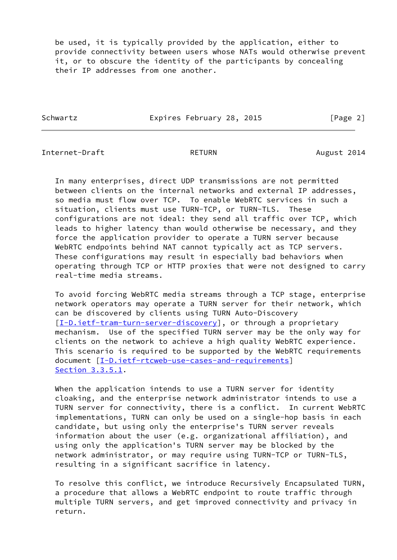be used, it is typically provided by the application, either to provide connectivity between users whose NATs would otherwise prevent it, or to obscure the identity of the participants by concealing their IP addresses from one another.

Schwartz **Expires February 28, 2015** [Page 2]

<span id="page-2-0"></span>Internet-Draft **RETURN** RETURN August 2014

 In many enterprises, direct UDP transmissions are not permitted between clients on the internal networks and external IP addresses, so media must flow over TCP. To enable WebRTC services in such a situation, clients must use TURN-TCP, or TURN-TLS. These configurations are not ideal: they send all traffic over TCP, which leads to higher latency than would otherwise be necessary, and they force the application provider to operate a TURN server because WebRTC endpoints behind NAT cannot typically act as TCP servers. These configurations may result in especially bad behaviors when operating through TCP or HTTP proxies that were not designed to carry real-time media streams.

 To avoid forcing WebRTC media streams through a TCP stage, enterprise network operators may operate a TURN server for their network, which can be discovered by clients using TURN Auto-Discovery [\[I-D.ietf-tram-turn-server-discovery](#page-12-2)], or through a proprietary mechanism. Use of the specified TURN server may be the only way for clients on the network to achieve a high quality WebRTC experience. This scenario is required to be supported by the WebRTC requirements document [\[I-D.ietf-rtcweb-use-cases-and-requirements\]](#page-12-3) Section 3.3.5.1.

When the application intends to use a TURN server for identity cloaking, and the enterprise network administrator intends to use a TURN server for connectivity, there is a conflict. In current WebRTC implementations, TURN can only be used on a single-hop basis in each candidate, but using only the enterprise's TURN server reveals information about the user (e.g. organizational affiliation), and using only the application's TURN server may be blocked by the network administrator, or may require using TURN-TCP or TURN-TLS, resulting in a significant sacrifice in latency.

 To resolve this conflict, we introduce Recursively Encapsulated TURN, a procedure that allows a WebRTC endpoint to route traffic through multiple TURN servers, and get improved connectivity and privacy in return.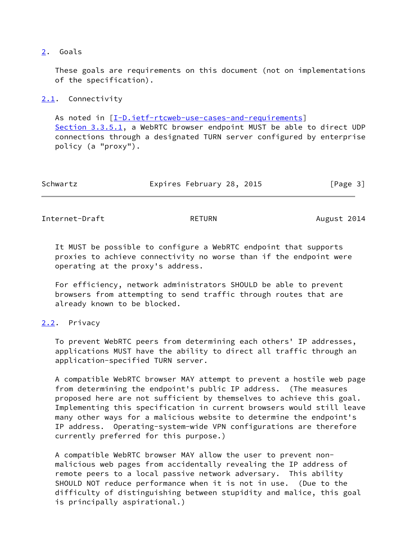## <span id="page-3-0"></span>[2](#page-3-0). Goals

 These goals are requirements on this document (not on implementations of the specification).

## <span id="page-3-1"></span>[2.1](#page-3-1). Connectivity

 As noted in [\[I-D.ietf-rtcweb-use-cases-and-requirements\]](#page-12-3) Section 3.3.5.1, a WebRTC browser endpoint MUST be able to direct UDP connections through a designated TURN server configured by enterprise policy (a "proxy").

| Schwartz | Expires February 28, 2015 | [Page 3] |
|----------|---------------------------|----------|
|----------|---------------------------|----------|

<span id="page-3-3"></span>Internet-Draft RETURN RETURN August 2014

 It MUST be possible to configure a WebRTC endpoint that supports proxies to achieve connectivity no worse than if the endpoint were operating at the proxy's address.

 For efficiency, network administrators SHOULD be able to prevent browsers from attempting to send traffic through routes that are already known to be blocked.

## <span id="page-3-2"></span>[2.2](#page-3-2). Privacy

 To prevent WebRTC peers from determining each others' IP addresses, applications MUST have the ability to direct all traffic through an application-specified TURN server.

 A compatible WebRTC browser MAY attempt to prevent a hostile web page from determining the endpoint's public IP address. (The measures proposed here are not sufficient by themselves to achieve this goal. Implementing this specification in current browsers would still leave many other ways for a malicious website to determine the endpoint's IP address. Operating-system-wide VPN configurations are therefore currently preferred for this purpose.)

 A compatible WebRTC browser MAY allow the user to prevent non malicious web pages from accidentally revealing the IP address of remote peers to a local passive network adversary. This ability SHOULD NOT reduce performance when it is not in use. (Due to the difficulty of distinguishing between stupidity and malice, this goal is principally aspirational.)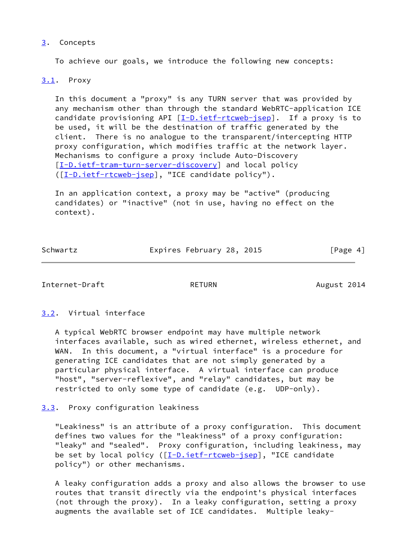## <span id="page-4-0"></span>[3](#page-4-0). Concepts

To achieve our goals, we introduce the following new concepts:

## <span id="page-4-1"></span>[3.1](#page-4-1). Proxy

 In this document a "proxy" is any TURN server that was provided by any mechanism other than through the standard WebRTC-application ICE candidate provisioning API  $[I-D.iett-rtcweb-isep]$ . If a proxy is to be used, it will be the destination of traffic generated by the client. There is no analogue to the transparent/intercepting HTTP proxy configuration, which modifies traffic at the network layer. Mechanisms to configure a proxy include Auto-Discovery [\[I-D.ietf-tram-turn-server-discovery](#page-12-2)] and local policy ([\[I-D.ietf-rtcweb-jsep](#page-11-6)], "ICE candidate policy").

 In an application context, a proxy may be "active" (producing candidates) or "inactive" (not in use, having no effect on the context).

Schwartz **Expires February 28, 2015** [Page 4]

<span id="page-4-3"></span>Internet-Draft **RETURN** RETURN August 2014

<span id="page-4-2"></span>[3.2](#page-4-2). Virtual interface

 A typical WebRTC browser endpoint may have multiple network interfaces available, such as wired ethernet, wireless ethernet, and WAN. In this document, a "virtual interface" is a procedure for generating ICE candidates that are not simply generated by a particular physical interface. A virtual interface can produce "host", "server-reflexive", and "relay" candidates, but may be restricted to only some type of candidate (e.g. UDP-only).

<span id="page-4-4"></span>[3.3](#page-4-4). Proxy configuration leakiness

 "Leakiness" is an attribute of a proxy configuration. This document defines two values for the "leakiness" of a proxy configuration: "leaky" and "sealed". Proxy configuration, including leakiness, may be set by local policy ([\[I-D.ietf-rtcweb-jsep](#page-11-6)], "ICE candidate policy") or other mechanisms.

 A leaky configuration adds a proxy and also allows the browser to use routes that transit directly via the endpoint's physical interfaces (not through the proxy). In a leaky configuration, setting a proxy augments the available set of ICE candidates. Multiple leaky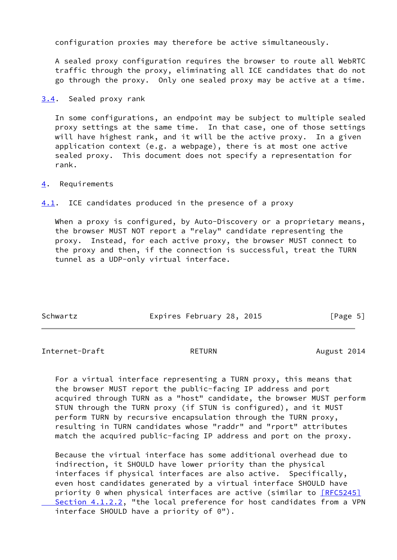configuration proxies may therefore be active simultaneously.

 A sealed proxy configuration requires the browser to route all WebRTC traffic through the proxy, eliminating all ICE candidates that do not go through the proxy. Only one sealed proxy may be active at a time.

<span id="page-5-1"></span>[3.4](#page-5-1). Sealed proxy rank

 In some configurations, an endpoint may be subject to multiple sealed proxy settings at the same time. In that case, one of those settings will have highest rank, and it will be the active proxy. In a given application context (e.g. a webpage), there is at most one active sealed proxy. This document does not specify a representation for rank.

<span id="page-5-0"></span>[4](#page-5-0). Requirements

<span id="page-5-2"></span>[4.1](#page-5-2). ICE candidates produced in the presence of a proxy

When a proxy is configured, by Auto-Discovery or a proprietary means, the browser MUST NOT report a "relay" candidate representing the proxy. Instead, for each active proxy, the browser MUST connect to the proxy and then, if the connection is successful, treat the TURN tunnel as a UDP-only virtual interface.

| Schwartz | Expires February 28, 2015 | [Page 5] |
|----------|---------------------------|----------|

<span id="page-5-3"></span>Internet-Draft RETURN RETURN August 2014

 For a virtual interface representing a TURN proxy, this means that the browser MUST report the public-facing IP address and port acquired through TURN as a "host" candidate, the browser MUST perform STUN through the TURN proxy (if STUN is configured), and it MUST perform TURN by recursive encapsulation through the TURN proxy, resulting in TURN candidates whose "raddr" and "rport" attributes match the acquired public-facing IP address and port on the proxy.

 Because the virtual interface has some additional overhead due to indirection, it SHOULD have lower priority than the physical interfaces if physical interfaces are also active. Specifically, even host candidates generated by a virtual interface SHOULD have priority 0 when physical interfaces are active (similar to  $[REC5245]$ Section 4.1.2.2, "the local preference for host candidates from a VPN interface SHOULD have a priority of 0").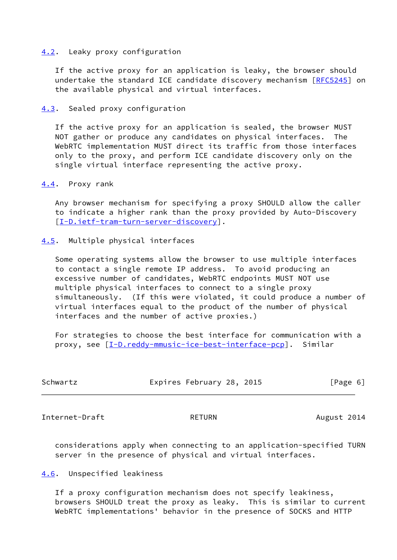### <span id="page-6-0"></span>[4.2](#page-6-0). Leaky proxy configuration

 If the active proxy for an application is leaky, the browser should undertake the standard ICE candidate discovery mechanism [\[RFC5245](https://datatracker.ietf.org/doc/pdf/rfc5245)] on the available physical and virtual interfaces.

### <span id="page-6-1"></span>[4.3](#page-6-1). Sealed proxy configuration

 If the active proxy for an application is sealed, the browser MUST NOT gather or produce any candidates on physical interfaces. The WebRTC implementation MUST direct its traffic from those interfaces only to the proxy, and perform ICE candidate discovery only on the single virtual interface representing the active proxy.

### <span id="page-6-2"></span>[4.4](#page-6-2). Proxy rank

 Any browser mechanism for specifying a proxy SHOULD allow the caller to indicate a higher rank than the proxy provided by Auto-Discovery [\[I-D.ietf-tram-turn-server-discovery](#page-12-2)].

## <span id="page-6-3"></span>[4.5](#page-6-3). Multiple physical interfaces

 Some operating systems allow the browser to use multiple interfaces to contact a single remote IP address. To avoid producing an excessive number of candidates, WebRTC endpoints MUST NOT use multiple physical interfaces to connect to a single proxy simultaneously. (If this were violated, it could produce a number of virtual interfaces equal to the product of the number of physical interfaces and the number of active proxies.)

 For strategies to choose the best interface for communication with a proxy, see [[I-D.reddy-mmusic-ice-best-interface-pcp\]](#page-12-4). Similar

| Expires February 28, 2015<br>Schwartz<br>[Page 6] |  |
|---------------------------------------------------|--|
|---------------------------------------------------|--|

<span id="page-6-5"></span>Internet-Draft RETURN RETURN August 2014

 considerations apply when connecting to an application-specified TURN server in the presence of physical and virtual interfaces.

## <span id="page-6-4"></span>[4.6](#page-6-4). Unspecified leakiness

 If a proxy configuration mechanism does not specify leakiness, browsers SHOULD treat the proxy as leaky. This is similar to current WebRTC implementations' behavior in the presence of SOCKS and HTTP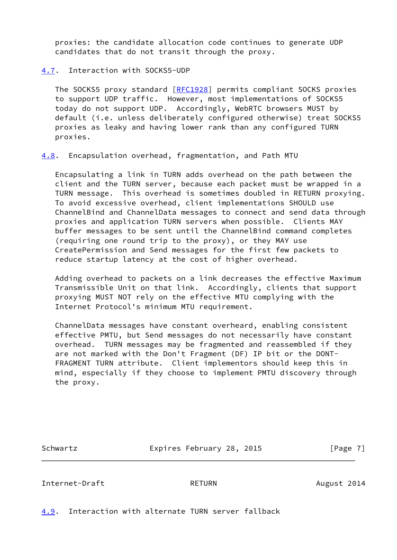proxies: the candidate allocation code continues to generate UDP candidates that do not transit through the proxy.

## <span id="page-7-0"></span>[4.7](#page-7-0). Interaction with SOCKS5-UDP

 The SOCKS5 proxy standard [[RFC1928](https://datatracker.ietf.org/doc/pdf/rfc1928)] permits compliant SOCKS proxies to support UDP traffic. However, most implementations of SOCKS5 today do not support UDP. Accordingly, WebRTC browsers MUST by default (i.e. unless deliberately configured otherwise) treat SOCKS5 proxies as leaky and having lower rank than any configured TURN proxies.

<span id="page-7-1"></span>[4.8](#page-7-1). Encapsulation overhead, fragmentation, and Path MTU

 Encapsulating a link in TURN adds overhead on the path between the client and the TURN server, because each packet must be wrapped in a TURN message. This overhead is sometimes doubled in RETURN proxying. To avoid excessive overhead, client implementations SHOULD use ChannelBind and ChannelData messages to connect and send data through proxies and application TURN servers when possible. Clients MAY buffer messages to be sent until the ChannelBind command completes (requiring one round trip to the proxy), or they MAY use CreatePermission and Send messages for the first few packets to reduce startup latency at the cost of higher overhead.

 Adding overhead to packets on a link decreases the effective Maximum Transmissible Unit on that link. Accordingly, clients that support proxying MUST NOT rely on the effective MTU complying with the Internet Protocol's minimum MTU requirement.

 ChannelData messages have constant overheard, enabling consistent effective PMTU, but Send messages do not necessarily have constant overhead. TURN messages may be fragmented and reassembled if they are not marked with the Don't Fragment (DF) IP bit or the DONT- FRAGMENT TURN attribute. Client implementors should keep this in mind, especially if they choose to implement PMTU discovery through the proxy.

Schwartz Expires February 28, 2015 [Page 7]

<span id="page-7-3"></span>Internet-Draft **RETURN** RETURN August 2014

<span id="page-7-2"></span>[4.9](#page-7-2). Interaction with alternate TURN server fallback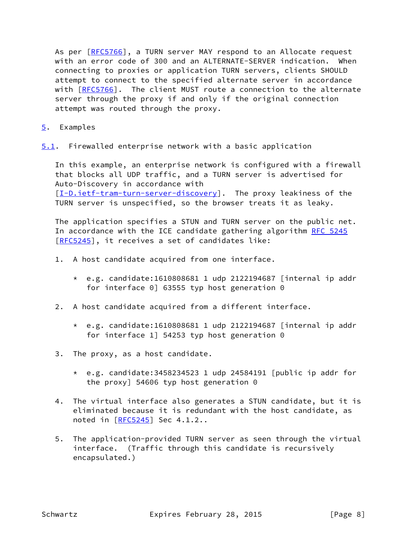As per [\[RFC5766](https://datatracker.ietf.org/doc/pdf/rfc5766)], a TURN server MAY respond to an Allocate request with an error code of 300 and an ALTERNATE-SERVER indication. When connecting to proxies or application TURN servers, clients SHOULD attempt to connect to the specified alternate server in accordance with [\[RFC5766](https://datatracker.ietf.org/doc/pdf/rfc5766)]. The client MUST route a connection to the alternate server through the proxy if and only if the original connection attempt was routed through the proxy.

- <span id="page-8-0"></span>[5](#page-8-0). Examples
- <span id="page-8-1"></span>[5.1](#page-8-1). Firewalled enterprise network with a basic application

 In this example, an enterprise network is configured with a firewall that blocks all UDP traffic, and a TURN server is advertised for Auto-Discovery in accordance with [\[I-D.ietf-tram-turn-server-discovery](#page-12-2)]. The proxy leakiness of the TURN server is unspecified, so the browser treats it as leaky.

 The application specifies a STUN and TURN server on the public net. In accordance with the ICE candidate gathering algorithm [RFC 5245](https://datatracker.ietf.org/doc/pdf/rfc5245) [\[RFC5245](https://datatracker.ietf.org/doc/pdf/rfc5245)], it receives a set of candidates like:

- 1. A host candidate acquired from one interface.
	- \* e.g. candidate:1610808681 1 udp 2122194687 [internal ip addr for interface 0] 63555 typ host generation 0
- 2. A host candidate acquired from a different interface.
	- \* e.g. candidate:1610808681 1 udp 2122194687 [internal ip addr for interface 1] 54253 typ host generation 0
- 3. The proxy, as a host candidate.
	- \* e.g. candidate:3458234523 1 udp 24584191 [public ip addr for the proxy] 54606 typ host generation 0
- 4. The virtual interface also generates a STUN candidate, but it is eliminated because it is redundant with the host candidate, as noted in [\[RFC5245](https://datatracker.ietf.org/doc/pdf/rfc5245)] Sec 4.1.2..
- 5. The application-provided TURN server as seen through the virtual interface. (Traffic through this candidate is recursively encapsulated.)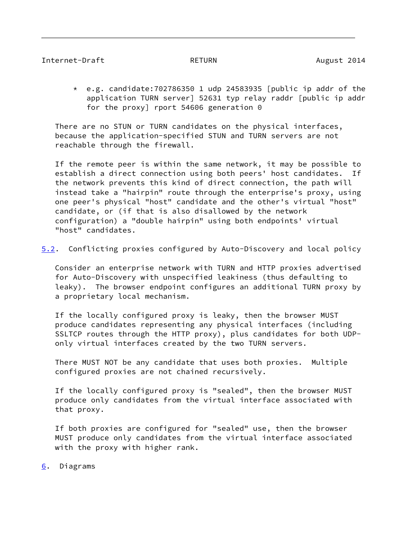## <span id="page-9-0"></span>Internet-Draft **RETURN** RETURN August 2014

 \* e.g. candidate:702786350 1 udp 24583935 [public ip addr of the application TURN server] 52631 typ relay raddr [public ip addr for the proxy] rport 54606 generation 0

 There are no STUN or TURN candidates on the physical interfaces, because the application-specified STUN and TURN servers are not reachable through the firewall.

 If the remote peer is within the same network, it may be possible to establish a direct connection using both peers' host candidates. If the network prevents this kind of direct connection, the path will instead take a "hairpin" route through the enterprise's proxy, using one peer's physical "host" candidate and the other's virtual "host" candidate, or (if that is also disallowed by the network configuration) a "double hairpin" using both endpoints' virtual "host" candidates.

<span id="page-9-2"></span>[5.2](#page-9-2). Conflicting proxies configured by Auto-Discovery and local policy

 Consider an enterprise network with TURN and HTTP proxies advertised for Auto-Discovery with unspecified leakiness (thus defaulting to leaky). The browser endpoint configures an additional TURN proxy by a proprietary local mechanism.

 If the locally configured proxy is leaky, then the browser MUST produce candidates representing any physical interfaces (including SSLTCP routes through the HTTP proxy), plus candidates for both UDP only virtual interfaces created by the two TURN servers.

 There MUST NOT be any candidate that uses both proxies. Multiple configured proxies are not chained recursively.

 If the locally configured proxy is "sealed", then the browser MUST produce only candidates from the virtual interface associated with that proxy.

 If both proxies are configured for "sealed" use, then the browser MUST produce only candidates from the virtual interface associated with the proxy with higher rank.

<span id="page-9-1"></span>[6](#page-9-1). Diagrams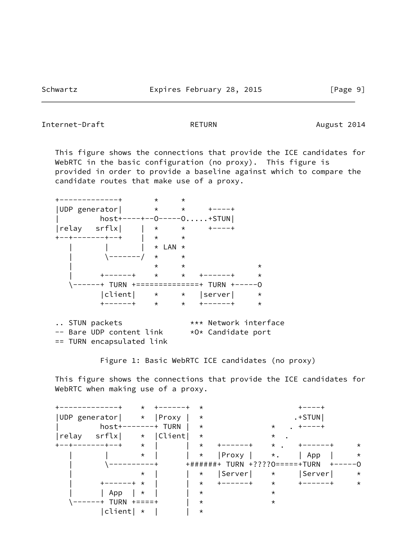### Internet-Draft RETURN RETURN August 2014

 This figure shows the connections that provide the ICE candidates for WebRTC in the basic configuration (no proxy). This figure is provided in order to provide a baseline against which to compare the candidate routes that make use of a proxy.

 +-------------+ \* \* |UDP generator| \* \* +----+ | host+----+--O-----O.....+STUN|  $\begin{array}{ccccccc}\n|{\text{relay}} & {\text{srflx}} & | & \star & \star & +---+ \\
+---+------+--+ & | & \star & \star\n\end{array}$  +--+-------+--+ | \* \*  $|\qquad \rangle$   $\star$  LAN  $\star$  $\left\langle \frac{1}{2} \right\rangle$  + \* \* | \* \* \* | +------+ \* \* +------+ \* \------+ TURN +==============+ TURN +-----O |client| \* \* |server| \* +------+ \* \* +------+ \* .. STUN packets  $***$  Network interface -- Bare UDP content link \*O\* Candidate port == TURN encapsulated link

Figure 1: Basic WebRTC ICE candidates (no proxy)

 This figure shows the connections that provide the ICE candidates for WebRTC when making use of a proxy.

|                | $\star$  |            | $^\star$ |                                |           |            |          |
|----------------|----------|------------|----------|--------------------------------|-----------|------------|----------|
| UDP generator  | $\star$  | Proxy      | $^\star$ |                                |           | $. + STUN$ |          |
| host+          |          | ----+ TURN | $\star$  |                                | $\star$   |            |          |
| srflx<br>relay | $\star$  | Client     | $^\star$ |                                | $\star$   |            |          |
| -+--+          | $\star$  |            | $\star$  |                                | $\star$   |            | $^\star$ |
|                | $\star$  |            | $\star$  | Proxy                          | $\star$ . | App        | $\star$  |
|                |          |            |          | +######+ TURN +????0=====+TURN |           |            | $--0$    |
|                | $^\star$ |            | $\star$  | Server                         | $\star$   | Server     | $^\star$ |
|                | $\star$  |            | $\star$  | -----+                         | $\star$   |            | $\star$  |
| App            | $\star$  |            | $\star$  |                                | $^\star$  |            |          |
| + TURN         | キニニニニキ   |            | $^\star$ |                                | $^\star$  |            |          |
| client         | $\star$  |            | $^\star$ |                                |           |            |          |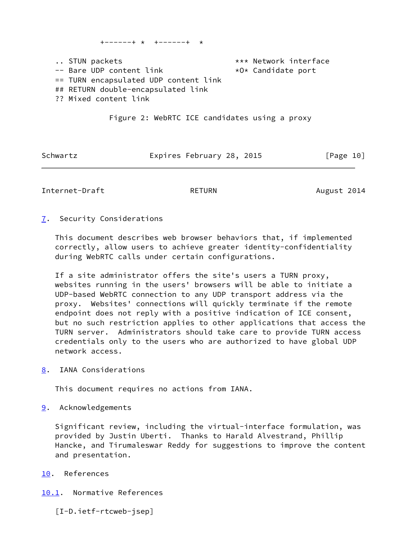.. STUN packets  $***$  Network interface  $\leftarrow$  Bare UDP content link  $\star$ O $\star$  Candidate port == TURN encapsulated UDP content link ## RETURN double-encapsulated link ?? Mixed content link

+------+ \* +------+ \*

Figure 2: WebRTC ICE candidates using a proxy

| Schwartz | Expires February 28, 2015 |  | [Page 10] |  |
|----------|---------------------------|--|-----------|--|
|          |                           |  |           |  |

<span id="page-11-1"></span>Internet-Draft RETURN RETURN August 2014

<span id="page-11-0"></span>[7](#page-11-0). Security Considerations

 This document describes web browser behaviors that, if implemented correctly, allow users to achieve greater identity-confidentiality during WebRTC calls under certain configurations.

 If a site administrator offers the site's users a TURN proxy, websites running in the users' browsers will be able to initiate a UDP-based WebRTC connection to any UDP transport address via the proxy. Websites' connections will quickly terminate if the remote endpoint does not reply with a positive indication of ICE consent, but no such restriction applies to other applications that access the TURN server. Administrators should take care to provide TURN access credentials only to the users who are authorized to have global UDP network access.

<span id="page-11-2"></span>[8](#page-11-2). IANA Considerations

This document requires no actions from IANA.

<span id="page-11-3"></span>[9](#page-11-3). Acknowledgements

 Significant review, including the virtual-interface formulation, was provided by Justin Uberti. Thanks to Harald Alvestrand, Phillip Hancke, and Tirumaleswar Reddy for suggestions to improve the content and presentation.

<span id="page-11-4"></span>[10.](#page-11-4) References

<span id="page-11-5"></span>[10.1](#page-11-5). Normative References

<span id="page-11-6"></span>[I-D.ietf-rtcweb-jsep]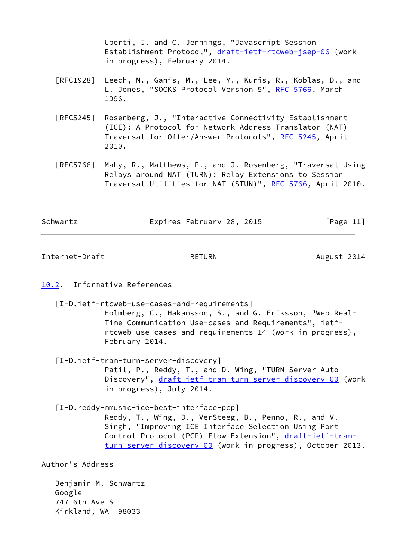Uberti, J. and C. Jennings, "Javascript Session Establishment Protocol", [draft-ietf-rtcweb-jsep-06](https://datatracker.ietf.org/doc/pdf/draft-ietf-rtcweb-jsep-06) (work in progress), February 2014.

- [RFC1928] Leech, M., Ganis, M., Lee, Y., Kuris, R., Koblas, D., and L. Jones, "SOCKS Protocol Version 5", [RFC 5766](https://datatracker.ietf.org/doc/pdf/rfc5766), March 1996.
- [RFC5245] Rosenberg, J., "Interactive Connectivity Establishment (ICE): A Protocol for Network Address Translator (NAT) Traversal for Offer/Answer Protocols", [RFC 5245](https://datatracker.ietf.org/doc/pdf/rfc5245), April 2010.
- [RFC5766] Mahy, R., Matthews, P., and J. Rosenberg, "Traversal Using Relays around NAT (TURN): Relay Extensions to Session Traversal Utilities for NAT (STUN)", [RFC 5766](https://datatracker.ietf.org/doc/pdf/rfc5766), April 2010.

| Schwartz | Expires February 28, 2015 | [Page 11] |
|----------|---------------------------|-----------|
|          |                           |           |

<span id="page-12-1"></span>Internet-Draft RETURN RETURN August 2014

## <span id="page-12-0"></span>[10.2](#page-12-0). Informative References

<span id="page-12-3"></span>[I-D.ietf-rtcweb-use-cases-and-requirements]

 Holmberg, C., Hakansson, S., and G. Eriksson, "Web Real- Time Communication Use-cases and Requirements", ietf rtcweb-use-cases-and-requirements-14 (work in progress), February 2014.

- <span id="page-12-2"></span> [I-D.ietf-tram-turn-server-discovery] Patil, P., Reddy, T., and D. Wing, "TURN Server Auto Discovery", [draft-ietf-tram-turn-server-discovery-00](https://datatracker.ietf.org/doc/pdf/draft-ietf-tram-turn-server-discovery-00) (work in progress), July 2014.
- <span id="page-12-4"></span> [I-D.reddy-mmusic-ice-best-interface-pcp] Reddy, T., Wing, D., VerSteeg, B., Penno, R., and V. Singh, "Improving ICE Interface Selection Using Port Control Protocol (PCP) Flow Extension", [draft-ietf-tram](https://datatracker.ietf.org/doc/pdf/draft-ietf-tram-turn-server-discovery-00) [turn-server-discovery-00](https://datatracker.ietf.org/doc/pdf/draft-ietf-tram-turn-server-discovery-00) (work in progress), October 2013.

Author's Address

 Benjamin M. Schwartz Google 747 6th Ave S Kirkland, WA 98033